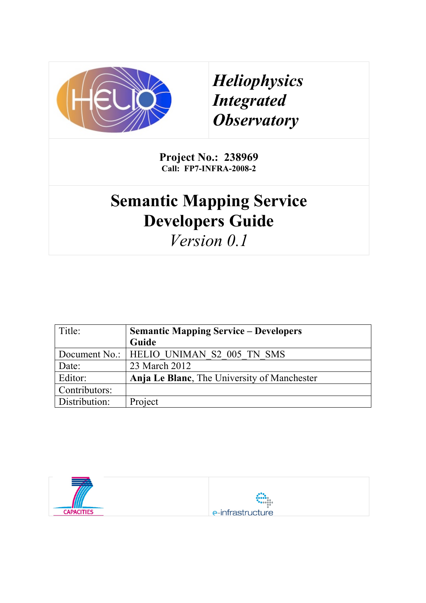

*Heliophysics Integrated Observatory*

**Project No.: 238969 Call: FP7-INFRA-2008-2**

# **Semantic Mapping Service Developers Guide**

*Version 0.1*

| Title:        | <b>Semantic Mapping Service – Developers</b> |  |  |
|---------------|----------------------------------------------|--|--|
|               | Guide                                        |  |  |
|               | Document No.:   HELIO UNIMAN S2 005 TN SMS   |  |  |
| Date:         | 23 March 2012                                |  |  |
| Editor:       | Anja Le Blanc, The University of Manchester  |  |  |
| Contributors: |                                              |  |  |
| Distribution: | Project                                      |  |  |

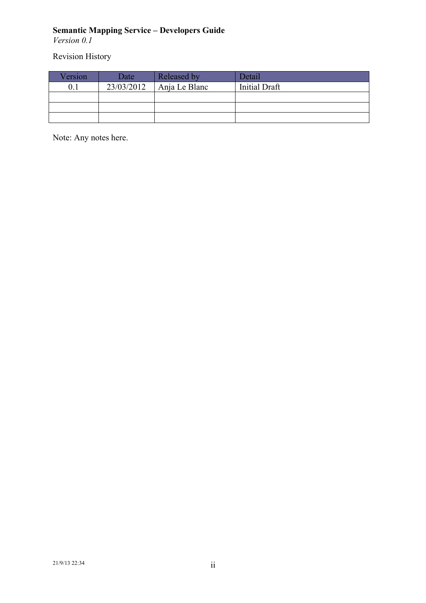*Version 0.1*

Revision History

| Version | Date       | Released by   | Detail        |
|---------|------------|---------------|---------------|
|         | 23/03/2012 | Anja Le Blanc | Initial Draft |
|         |            |               |               |
|         |            |               |               |
|         |            |               |               |

Note: Any notes here.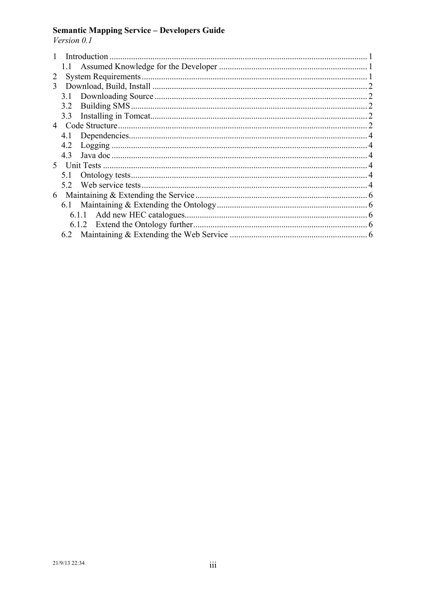# **Semantic Mapping Service – Developers Guide** *Version 0.1*

|    | Introduction |  |  |  |  |  |
|----|--------------|--|--|--|--|--|
|    | $1.1 -$      |  |  |  |  |  |
| 2  |              |  |  |  |  |  |
| 3  |              |  |  |  |  |  |
|    |              |  |  |  |  |  |
|    | 3.2          |  |  |  |  |  |
|    | 3.3          |  |  |  |  |  |
| 4  |              |  |  |  |  |  |
|    | 4.1          |  |  |  |  |  |
|    | 4.2          |  |  |  |  |  |
|    | 43           |  |  |  |  |  |
| 5. |              |  |  |  |  |  |
|    | 51           |  |  |  |  |  |
|    |              |  |  |  |  |  |
| 6  |              |  |  |  |  |  |
|    |              |  |  |  |  |  |
|    |              |  |  |  |  |  |
|    |              |  |  |  |  |  |
|    |              |  |  |  |  |  |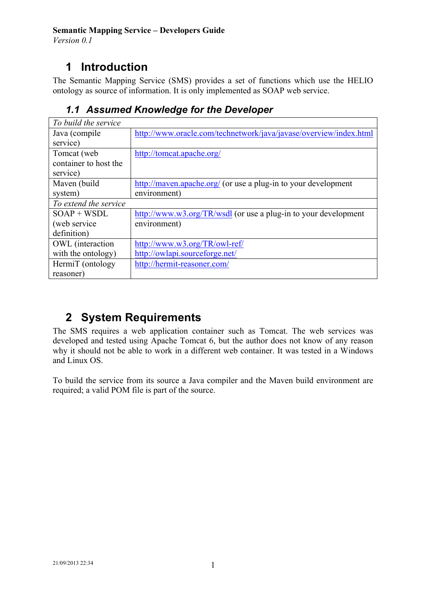*Version 0.1*

# **1 Introduction**

The Semantic Mapping Service (SMS) provides a set of functions which use the HELIO ontology as source of information. It is only implemented as SOAP web service.

| To build the service    |                                                                   |
|-------------------------|-------------------------------------------------------------------|
| Java (compile           | http://www.oracle.com/technetwork/java/javase/overview/index.html |
| service)                |                                                                   |
| Tomcat (web)            | http://tomcat.apache.org/                                         |
| container to host the   |                                                                   |
| service)                |                                                                   |
| Maven (build            | http://maven.apache.org/ (or use a plug-in to your development    |
| system)                 | environment)                                                      |
| To extend the service   |                                                                   |
| $SOAP + WSDL$           | http://www.w3.org/TR/wsdl (or use a plug-in to your development   |
| (web service)           | environment)                                                      |
| definition)             |                                                                   |
| <b>OWL</b> (interaction | http://www.w3.org/TR/owl-ref/                                     |
| with the ontology)      | http://owlapi.sourceforge.net/                                    |
| HermiT (ontology        | http://hermit-reasoner.com/                                       |
| reasoner)               |                                                                   |

### *1.1 Assumed Knowledge for the Developer*

# **2 System Requirements**

The SMS requires a web application container such as Tomcat. The web services was developed and tested using Apache Tomcat 6, but the author does not know of any reason why it should not be able to work in a different web container. It was tested in a Windows and Linux OS.

To build the service from its source a Java compiler and the Maven build environment are required; a valid POM file is part of the source.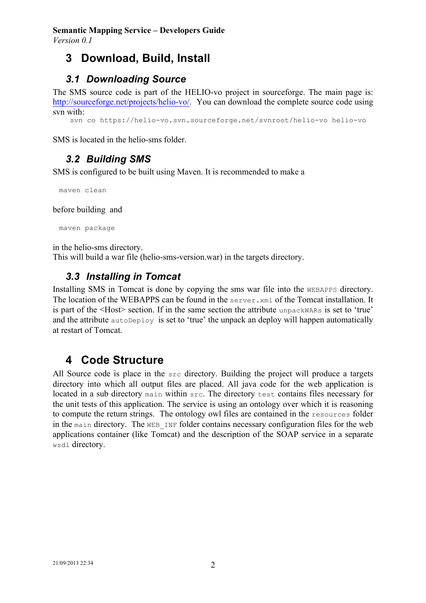#### **Semantic Mapping Service – Developers Guide** *Version 0.1*

## **3 Download, Build, Install**

#### *3.1 Downloading Source*

The SMS source code is part of the HELIO-vo project in sourceforge. The main page is: http://sourceforge.net/projects/helio-vo/. You can download the complete source code using svn with:

svn co https://helio-vo.svn.sourceforge.net/svnroot/helio-vo helio-vo

SMS is located in the helio-sms folder.

#### *3.2 Building SMS*

SMS is configured to be built using Maven. It is recommended to make a

maven clean

before building and

maven package

in the helio-sms directory.

This will build a war file (helio-sms-version.war) in the targets directory.

#### *3.3 Installing in Tomcat*

Installing SMS in Tomcat is done by copying the sms war file into the WEBAPPS directory. The location of the WEBAPPS can be found in the server.xml of the Tomcat installation. It is part of the <Host> section. If in the same section the attribute unpackWARs is set to 'true' and the attribute  $\alpha$ utoDeploy is set to 'true' the unpack an deploy will happen automatically at restart of Tomcat.

#### **4 Code Structure**

All Source code is place in the src directory. Building the project will produce a targets directory into which all output files are placed. All java code for the web application is located in a sub directory main within src. The directory test contains files necessary for the unit tests of this application. The service is using an ontology over which it is reasoning to compute the return strings. The ontology owl files are contained in the resources folder in the main directory. The WEB INF folder contains necessary configuration files for the web applications container (like Tomcat) and the description of the SOAP service in a separate wsdl directory.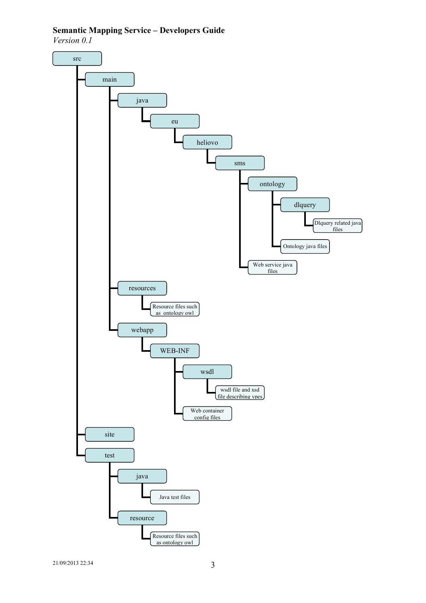*Version 0.1*

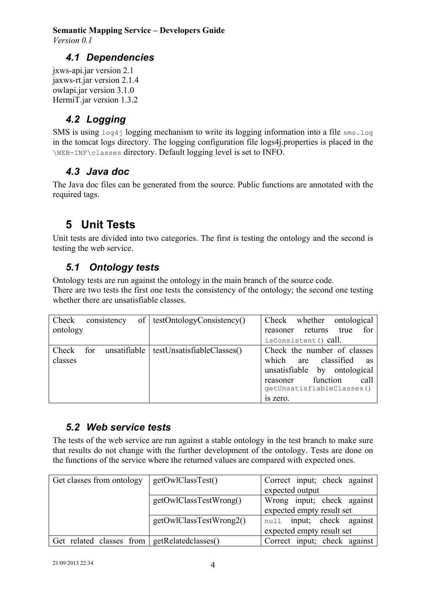*Version 0.1*

#### *4.1 Dependencies*

jxws-api.jar version 2.1 jaxws-rt.jar version 2.1.4 owlapi.jar version 3.1.0 HermiT.jar version 1.3.2

#### *4.2 Logging*

SMS is using  $log_{4}$  logging mechanism to write its logging information into a file sms.  $log$ in the tomcat logs directory. The logging configuration file logs4j.properties is placed in the \WEB-INF\classes directory. Default logging level is set to INFO.

#### *4.3 Java doc*

The Java doc files can be generated from the source. Public functions are annotated with the required tags.

# **5 Unit Tests**

Unit tests are divided into two categories. The first is testing the ontology and the second is testing the web service.

#### *5.1 Ontology tests*

Ontology tests are run against the ontology in the main branch of the source code. There are two tests the first one tests the consistency of the ontology; the second one testing whether there are unsatisfiable classes.

| Check            |     | consistency  | of   testOntologyConsistency() | whether<br>Check<br>ontological                                                                                                                                          |
|------------------|-----|--------------|--------------------------------|--------------------------------------------------------------------------------------------------------------------------------------------------------------------------|
| ontology         |     |              |                                | for<br>returns<br>true<br>reasoner                                                                                                                                       |
|                  |     |              |                                | isConsistent() call.                                                                                                                                                     |
| Check<br>classes | for | unsatifiable | testUnsatisfiableClasses()     | Check the number of classes<br>classified<br>which<br>are<br>as<br>unsatisfiable by ontological<br>function<br>call<br>reasoner<br>qetUnsatisfiableClasses()<br>is zero. |

#### *5.2 Web service tests*

The tests of the web service are run against a stable ontology in the test branch to make sure that results do not change with the further development of the ontology. Tests are done on the functions of the service where the returned values are compared with expected ones.

| Get classes from ontology                      | getOWIClassTest()       | Correct input; check against |
|------------------------------------------------|-------------------------|------------------------------|
|                                                |                         | expected output              |
|                                                | getOwlClassTestWrong()  | Wrong input; check against   |
|                                                |                         | expected empty result set    |
|                                                | getOwlClassTestWrong2() | null input; check against    |
|                                                |                         | expected empty result set    |
| Get related classes from   getRelatedclasses() |                         | Correct input; check against |
|                                                |                         |                              |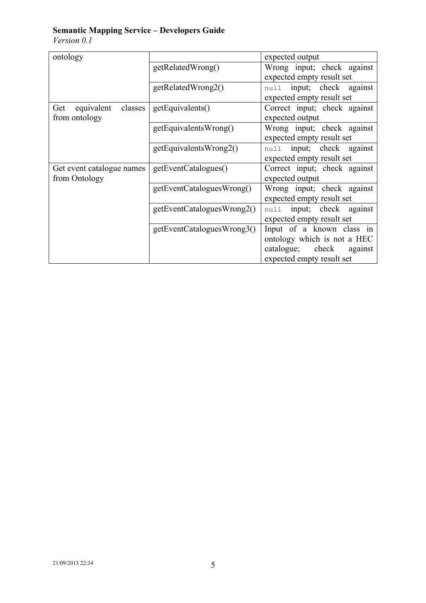*Version 0.1*

| ontology                     |                            | expected output              |
|------------------------------|----------------------------|------------------------------|
|                              | getRelatedWrong()          | Wrong input; check against   |
|                              |                            | expected empty result set    |
|                              | getRelatedWrong2()         | null input; check against    |
|                              |                            | expected empty result set    |
| equivalent<br>classes<br>Get | getEquivalents()           | Correct input; check against |
| from ontology                |                            | expected output              |
|                              | getEquivalentsWrong()      | Wrong input; check against   |
|                              |                            | expected empty result set    |
|                              | getEquivalentsWrong2()     | null input; check against    |
|                              |                            | expected empty result set    |
| Get event catalogue names    | getEventCatalogues()       | Correct input; check against |
| from Ontology                |                            | expected output              |
|                              | getEventCataloguesWrong()  | Wrong input; check against   |
|                              |                            | expected empty result set    |
|                              | getEventCataloguesWrong2() | null input; check against    |
|                              |                            | expected empty result set    |
|                              | getEventCataloguesWrong3() | Input of a known class in    |
|                              |                            | ontology which is not a HEC  |
|                              |                            | catalogue; check<br>against  |
|                              |                            | expected empty result set    |